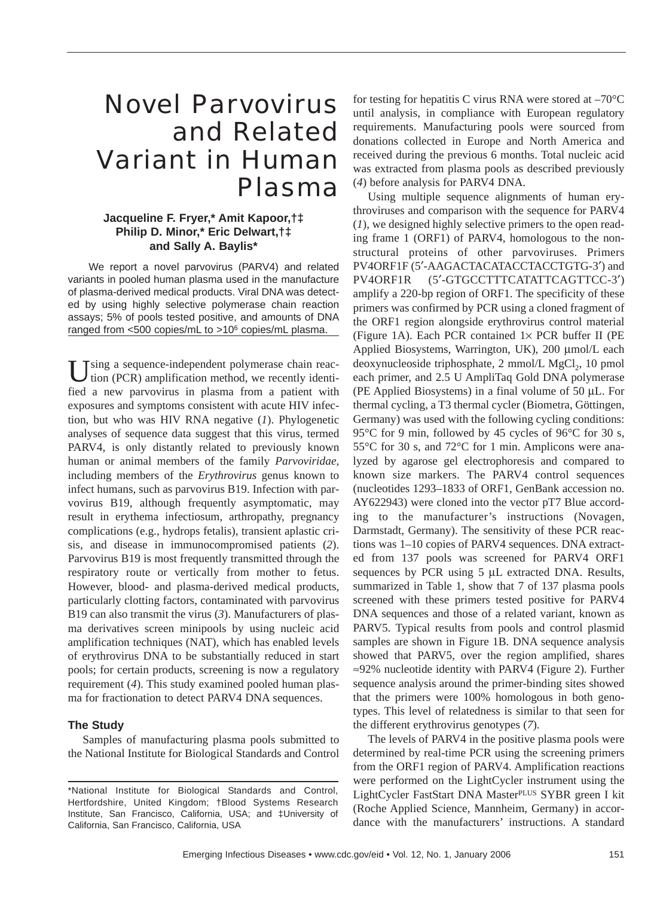# Novel Parvovirus and Related Variant in Human Plasma

# **Jacqueline F. Fryer,\* Amit Kapoor,†‡ Philip D. Minor,\* Eric Delwart,†‡ and Sally A. Baylis\***

We report a novel parvovirus (PARV4) and related variants in pooled human plasma used in the manufacture of plasma-derived medical products. Viral DNA was detected by using highly selective polymerase chain reaction assays; 5% of pools tested positive, and amounts of DNA ranged from <500 copies/mL to >106 copies/mL plasma.

Using a sequence-independent polymerase chain reac-<br>tion (PCR) amplification method, we recently identified a new parvovirus in plasma from a patient with exposures and symptoms consistent with acute HIV infection, but who was HIV RNA negative (*1*). Phylogenetic analyses of sequence data suggest that this virus, termed PARV4, is only distantly related to previously known human or animal members of the family *Parvoviridae*, including members of the *Erythrovirus* genus known to infect humans, such as parvovirus B19. Infection with parvovirus B19, although frequently asymptomatic, may result in erythema infectiosum, arthropathy, pregnancy complications (e.g., hydrops fetalis), transient aplastic crisis, and disease in immunocompromised patients (*2*). Parvovirus B19 is most frequently transmitted through the respiratory route or vertically from mother to fetus. However, blood- and plasma-derived medical products, particularly clotting factors, contaminated with parvovirus B19 can also transmit the virus (*3*). Manufacturers of plasma derivatives screen minipools by using nucleic acid amplification techniques (NAT), which has enabled levels of erythrovirus DNA to be substantially reduced in start pools; for certain products, screening is now a regulatory requirement (*4*). This study examined pooled human plasma for fractionation to detect PARV4 DNA sequences.

## **The Study**

Samples of manufacturing plasma pools submitted to the National Institute for Biological Standards and Control for testing for hepatitis C virus RNA were stored at  $-70^{\circ}$ C until analysis, in compliance with European regulatory requirements. Manufacturing pools were sourced from donations collected in Europe and North America and received during the previous 6 months. Total nucleic acid was extracted from plasma pools as described previously (*4*) before analysis for PARV4 DNA.

Using multiple sequence alignments of human erythroviruses and comparison with the sequence for PARV4 (*1*), we designed highly selective primers to the open reading frame 1 (ORF1) of PARV4, homologous to the nonstructural proteins of other parvoviruses. Primers PV4ORF1F (5′-AAGACTACATACCTACCTGTG-3′) and PV4ORF1R (5′-GTGCCTTTCATATTCAGTTCC-3′) amplify a 220-bp region of ORF1. The specificity of these primers was confirmed by PCR using a cloned fragment of the ORF1 region alongside erythrovirus control material (Figure 1A). Each PCR contained  $1 \times$  PCR buffer II (PE Applied Biosystems, Warrington, UK), 200 µmol/L each deoxynucleoside triphosphate,  $2 \text{ mmol/L MgCl}_2$ , 10 pmol each primer, and 2.5 U AmpliTaq Gold DNA polymerase (PE Applied Biosystems) in a final volume of 50 µL. For thermal cycling, a T3 thermal cycler (Biometra, Göttingen, Germany) was used with the following cycling conditions: 95 °C for 9 min, followed by 45 cycles of 96 °C for 30 s, 55°C for 30 s, and 72°C for 1 min. Amplicons were analyzed by agarose gel electrophoresis and compared to known size markers. The PARV4 control sequences (nucleotides 1293–1833 of ORF1, GenBank accession no. AY622943) were cloned into the vector pT7 Blue according to the manufacturer's instructions (Novagen, Darmstadt, Germany). The sensitivity of these PCR reactions was 1–10 copies of PARV4 sequences. DNA extracted from 137 pools was screened for PARV4 ORF1 sequences by PCR using 5 µL extracted DNA. Results, summarized in Table 1, show that 7 of 137 plasma pools screened with these primers tested positive for PARV4 DNA sequences and those of a related variant, known as PARV5. Typical results from pools and control plasmid samples are shown in Figure 1B. DNA sequence analysis showed that PARV5, over the region amplified, shares ≈92% nucleotide identity with PARV4 (Figure 2). Further sequence analysis around the primer-binding sites showed that the primers were 100% homologous in both genotypes. This level of relatedness is similar to that seen for the different erythrovirus genotypes (*7*).

The levels of PARV4 in the positive plasma pools were determined by real-time PCR using the screening primers from the ORF1 region of PARV4. Amplification reactions were performed on the LightCycler instrument using the LightCycler FastStart DNA MasterPLUS SYBR green I kit (Roche Applied Science, Mannheim, Germany) in accordance with the manufacturers' instructions. A standard

<sup>\*</sup>National Institute for Biological Standards and Control, Hertfordshire, United Kingdom; †Blood Systems Research Institute, San Francisco, California, USA; and ‡University of California, San Francisco, California, USA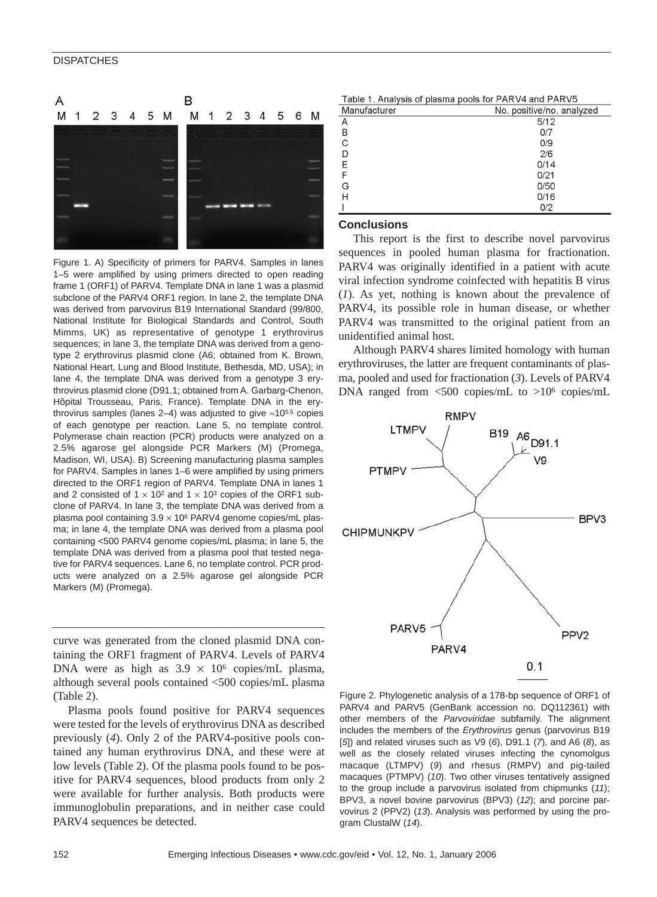## **DISPATCHES**



Figure 1. A) Specificity of primers for PARV4. Samples in lanes 1–5 were amplified by using primers directed to open reading frame 1 (ORF1) of PARV4. Template DNA in lane 1 was a plasmid subclone of the PARV4 ORF1 region. In lane 2, the template DNA was derived from parvovirus B19 International Standard (99/800, National Institute for Biological Standards and Control, South Mimms, UK) as representative of genotype 1 erythrovirus sequences; in lane 3, the template DNA was derived from a genotype 2 erythrovirus plasmid clone (A6; obtained from K. Brown, National Heart, Lung and Blood Institute, Bethesda, MD, USA); in lane 4, the template DNA was derived from a genotype 3 erythrovirus plasmid clone (D91.1; obtained from A. Garbarg-Chenon, Hôpital Trousseau, Paris, France). Template DNA in the erythrovirus samples (lanes 2–4) was adjusted to give ≈105.5 copies of each genotype per reaction. Lane 5, no template control. Polymerase chain reaction (PCR) products were analyzed on a 2.5% agarose gel alongside PCR Markers (M) (Promega, Madison, WI, USA). B) Screening manufacturing plasma samples for PARV4. Samples in lanes 1–6 were amplified by using primers directed to the ORF1 region of PARV4. Template DNA in lanes 1 and 2 consisted of  $1 \times 10^2$  and  $1 \times 10^3$  copies of the ORF1 subclone of PARV4. In lane 3, the template DNA was derived from a plasma pool containing  $3.9 \times 10^6$  PARV4 genome copies/mL plasma; in lane 4, the template DNA was derived from a plasma pool containing <500 PARV4 genome copies/mL plasma; in lane 5, the template DNA was derived from a plasma pool that tested negative for PARV4 sequences. Lane 6, no template control. PCR products were analyzed on a 2.5% agarose gel alongside PCR Markers (M) (Promega).

curve was generated from the cloned plasmid DNA containing the ORF1 fragment of PARV4. Levels of PARV4 DNA were as high as  $3.9 \times 10^6$  copies/mL plasma, although several pools contained <500 copies/mL plasma (Table 2).

Plasma pools found positive for PARV4 sequences were tested for the levels of erythrovirus DNA as described previously (*4*). Only 2 of the PARV4-positive pools contained any human erythrovirus DNA, and these were at low levels (Table 2). Of the plasma pools found to be positive for PARV4 sequences, blood products from only 2 were available for further analysis. Both products were immunoglobulin preparations, and in neither case could PARV4 sequences be detected.

Table 1. Analysis of plasma pools for PARV4 and PARV5

| Manufacturer | No. positive/no. analyzed |
|--------------|---------------------------|
| Α            | 5/12                      |
| B            | 0/7                       |
| C            | 0/9                       |
| D            | 2/6                       |
| E            | 0/14                      |
| F            | 0/21                      |
| G            | 0/50                      |
| Н            | 0/16                      |
|              | 0/2                       |

## **Conclusions**

This report is the first to describe novel parvovirus sequences in pooled human plasma for fractionation. PARV4 was originally identified in a patient with acute viral infection syndrome coinfected with hepatitis B virus (*1*). As yet, nothing is known about the prevalence of PARV4, its possible role in human disease, or whether PARV4 was transmitted to the original patient from an unidentified animal host.

Although PARV4 shares limited homology with human erythroviruses, the latter are frequent contaminants of plasma, pooled and used for fractionation (*3*). Levels of PARV4 DNA ranged from <500 copies/mL to >106 copies/mL



Figure 2. Phylogenetic analysis of a 178-bp sequence of ORF1 of PARV4 and PARV5 (GenBank accession no. DQ112361) with other members of the *Parvoviridae* subfamily. The alignment includes the members of the *Erythrovirus* genus (parvovirus B19 [*5*]) and related viruses such as V9 (*6*), D91.1 (*7*), and A6 (*8*), as well as the closely related viruses infecting the cynomolgus macaque (LTMPV) (*9*) and rhesus (RMPV) and pig-tailed macaques (PTMPV) (*10*). Two other viruses tentatively assigned to the group include a parvovirus isolated from chipmunks (*11*); BPV3, a novel bovine parvovirus (BPV3) (*12*); and porcine parvovirus 2 (PPV2) (*13*). Analysis was performed by using the program ClustalW (*14*).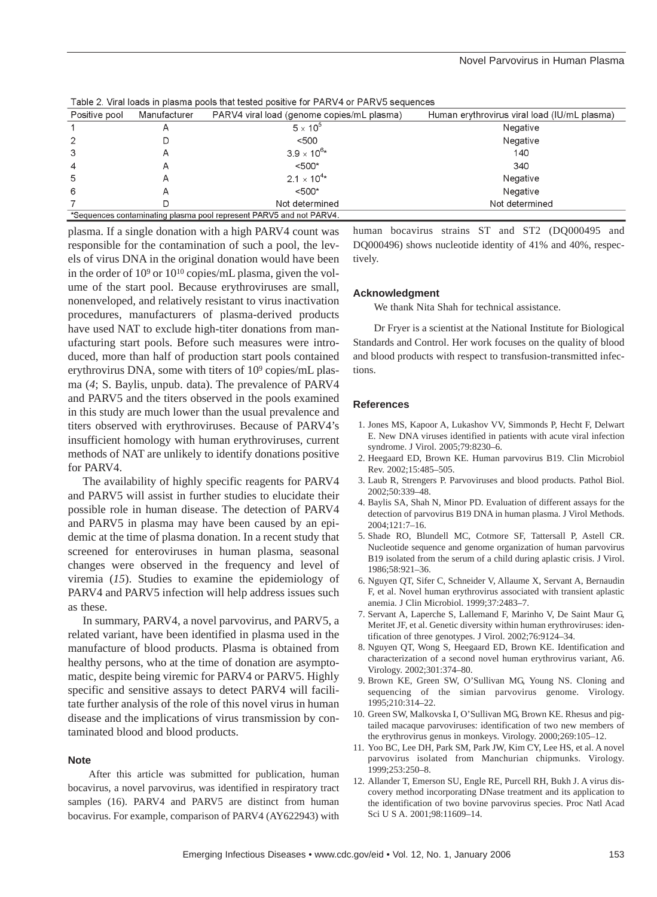| Positive pool                                                       | Manufacturer | PARV4 viral load (genome copies/mL plasma) | Human erythrovirus viral load (IU/mL plasma) |
|---------------------------------------------------------------------|--------------|--------------------------------------------|----------------------------------------------|
|                                                                     | A            | $5 \times 10^5$                            | Negative                                     |
| $\overline{2}$                                                      |              | < 500                                      | Negative                                     |
| 3                                                                   | Α            | $3.9 \times 10^{6*}$                       | 140                                          |
| $\overline{4}$                                                      |              | $< 500*$                                   | 340                                          |
| 5                                                                   |              | $2.1 \times 10^{4*}$                       | Negative                                     |
| 6                                                                   |              | $< 500*$                                   | Negative                                     |
|                                                                     |              | Not determined                             | Not determined                               |
| *Sequences contaminating plasma pool represent PARV5 and not PARV4. |              |                                            |                                              |

Table 2. Viral loads in plasma pools that tested positive for PARV4 or PARV5 sequences

plasma. If a single donation with a high PARV4 count was responsible for the contamination of such a pool, the levels of virus DNA in the original donation would have been in the order of 10<sup>9</sup> or 10<sup>10</sup> copies/mL plasma, given the volume of the start pool. Because erythroviruses are small, nonenveloped, and relatively resistant to virus inactivation procedures, manufacturers of plasma-derived products have used NAT to exclude high-titer donations from manufacturing start pools. Before such measures were introduced, more than half of production start pools contained erythrovirus DNA, some with titers of 10<sup>9</sup> copies/mL plasma (*4*; S. Baylis, unpub. data). The prevalence of PARV4 and PARV5 and the titers observed in the pools examined in this study are much lower than the usual prevalence and titers observed with erythroviruses. Because of PARV4's insufficient homology with human erythroviruses, current methods of NAT are unlikely to identify donations positive for PARV4.

The availability of highly specific reagents for PARV4 and PARV5 will assist in further studies to elucidate their possible role in human disease. The detection of PARV4 and PARV5 in plasma may have been caused by an epidemic at the time of plasma donation. In a recent study that screened for enteroviruses in human plasma, seasonal changes were observed in the frequency and level of viremia (*15*). Studies to examine the epidemiology of PARV4 and PARV5 infection will help address issues such as these.

In summary, PARV4, a novel parvovirus, and PARV5, a related variant, have been identified in plasma used in the manufacture of blood products. Plasma is obtained from healthy persons, who at the time of donation are asymptomatic, despite being viremic for PARV4 or PARV5. Highly specific and sensitive assays to detect PARV4 will facilitate further analysis of the role of this novel virus in human disease and the implications of virus transmission by contaminated blood and blood products.

#### **Note**

After this article was submitted for publication, human bocavirus, a novel parvovirus, was identified in respiratory tract samples (16). PARV4 and PARV5 are distinct from human bocavirus. For example, comparison of PARV4 (AY622943) with human bocavirus strains ST and ST2 (DQ000495 and DQ000496) shows nucleotide identity of 41% and 40%, respectively.

#### **Acknowledgment**

We thank Nita Shah for technical assistance.

Dr Fryer is a scientist at the National Institute for Biological Standards and Control. Her work focuses on the quality of blood and blood products with respect to transfusion-transmitted infections.

### **References**

- 1. Jones MS, Kapoor A, Lukashov VV, Simmonds P, Hecht F, Delwart E. New DNA viruses identified in patients with acute viral infection syndrome. J Virol. 2005;79:8230–6.
- 2. Heegaard ED, Brown KE. Human parvovirus B19. Clin Microbiol Rev. 2002;15:485–505.
- 3. Laub R, Strengers P. Parvoviruses and blood products. Pathol Biol. 2002;50:339–48.
- 4. Baylis SA, Shah N, Minor PD. Evaluation of different assays for the detection of parvovirus B19 DNA in human plasma. J Virol Methods. 2004;121:7–16.
- 5. Shade RO, Blundell MC, Cotmore SF, Tattersall P, Astell CR. Nucleotide sequence and genome organization of human parvovirus B19 isolated from the serum of a child during aplastic crisis. J Virol. 1986;58:921–36.
- 6. Nguyen QT, Sifer C, Schneider V, Allaume X, Servant A, Bernaudin F, et al. Novel human erythrovirus associated with transient aplastic anemia. J Clin Microbiol. 1999;37:2483–7.
- 7. Servant A, Laperche S, Lallemand F, Marinho V, De Saint Maur G, Meritet JF, et al. Genetic diversity within human erythroviruses: identification of three genotypes. J Virol. 2002;76:9124–34.
- 8. Nguyen QT, Wong S, Heegaard ED, Brown KE. Identification and characterization of a second novel human erythrovirus variant, A6. Virology. 2002;301:374–80.
- 9. Brown KE, Green SW, O'Sullivan MG, Young NS. Cloning and sequencing of the simian parvovirus genome. Virology. 1995;210:314–22.
- 10. Green SW, Malkovska I, O'Sullivan MG, Brown KE. Rhesus and pigtailed macaque parvoviruses: identification of two new members of the erythrovirus genus in monkeys. Virology. 2000;269:105–12.
- 11. Yoo BC, Lee DH, Park SM, Park JW, Kim CY, Lee HS, et al. A novel parvovirus isolated from Manchurian chipmunks. Virology. 1999;253:250–8.
- 12. Allander T, Emerson SU, Engle RE, Purcell RH, Bukh J. A virus discovery method incorporating DNase treatment and its application to the identification of two bovine parvovirus species. Proc Natl Acad Sci U S A. 2001;98:11609–14.